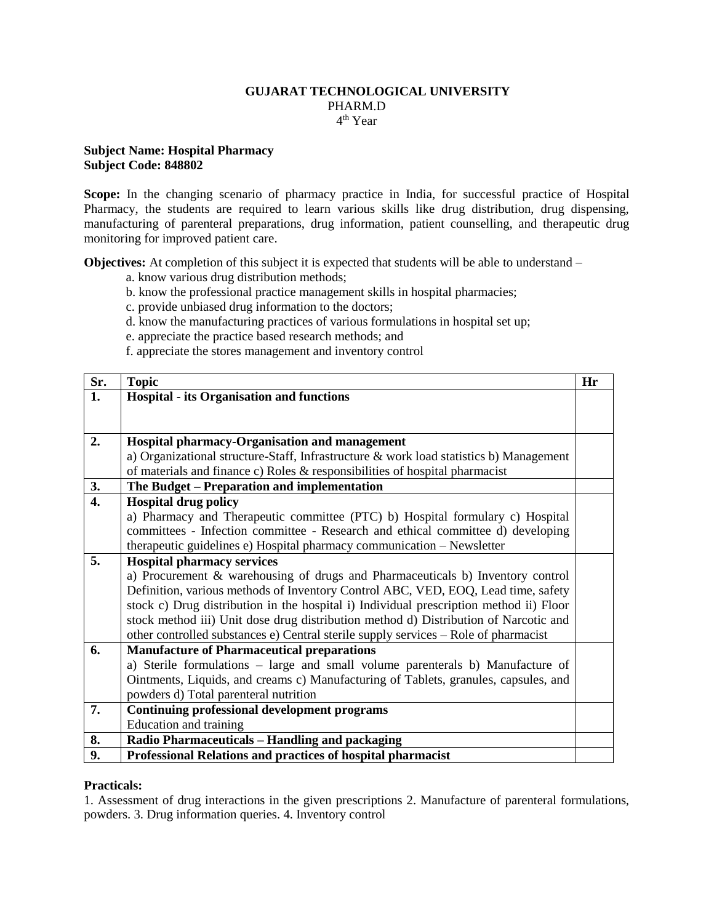### **GUJARAT TECHNOLOGICAL UNIVERSITY** PHARM.D 4 th Year

### **Subject Name: Hospital Pharmacy Subject Code: 848802**

Scope: In the changing scenario of pharmacy practice in India, for successful practice of Hospital Pharmacy, the students are required to learn various skills like drug distribution, drug dispensing, manufacturing of parenteral preparations, drug information, patient counselling, and therapeutic drug monitoring for improved patient care.

**Objectives:** At completion of this subject it is expected that students will be able to understand –

- a. know various drug distribution methods;
- b. know the professional practice management skills in hospital pharmacies;
- c. provide unbiased drug information to the doctors;
- d. know the manufacturing practices of various formulations in hospital set up;
- e. appreciate the practice based research methods; and
- f. appreciate the stores management and inventory control

| Sr. | <b>Topic</b>                                                                           | Hr |
|-----|----------------------------------------------------------------------------------------|----|
| 1.  | <b>Hospital - its Organisation and functions</b>                                       |    |
|     |                                                                                        |    |
|     |                                                                                        |    |
| 2.  | Hospital pharmacy-Organisation and management                                          |    |
|     | a) Organizational structure-Staff, Infrastructure & work load statistics b) Management |    |
|     | of materials and finance c) Roles & responsibilities of hospital pharmacist            |    |
| 3.  | The Budget – Preparation and implementation                                            |    |
| 4.  | <b>Hospital drug policy</b>                                                            |    |
|     | a) Pharmacy and Therapeutic committee (PTC) b) Hospital formulary c) Hospital          |    |
|     | committees - Infection committee - Research and ethical committee d) developing        |    |
|     | therapeutic guidelines e) Hospital pharmacy communication - Newsletter                 |    |
| 5.  | <b>Hospital pharmacy services</b>                                                      |    |
|     | a) Procurement & warehousing of drugs and Pharmaceuticals b) Inventory control         |    |
|     | Definition, various methods of Inventory Control ABC, VED, EOQ, Lead time, safety      |    |
|     | stock c) Drug distribution in the hospital i) Individual prescription method ii) Floor |    |
|     | stock method iii) Unit dose drug distribution method d) Distribution of Narcotic and   |    |
|     | other controlled substances e) Central sterile supply services – Role of pharmacist    |    |
| 6.  | <b>Manufacture of Pharmaceutical preparations</b>                                      |    |
|     | a) Sterile formulations – large and small volume parenterals b) Manufacture of         |    |
|     | Ointments, Liquids, and creams c) Manufacturing of Tablets, granules, capsules, and    |    |
|     | powders d) Total parenteral nutrition                                                  |    |
| 7.  | <b>Continuing professional development programs</b>                                    |    |
|     | Education and training                                                                 |    |
| 8.  | Radio Pharmaceuticals - Handling and packaging                                         |    |
| 9.  | Professional Relations and practices of hospital pharmacist                            |    |

#### **Practicals:**

1. Assessment of drug interactions in the given prescriptions 2. Manufacture of parenteral formulations, powders. 3. Drug information queries. 4. Inventory control